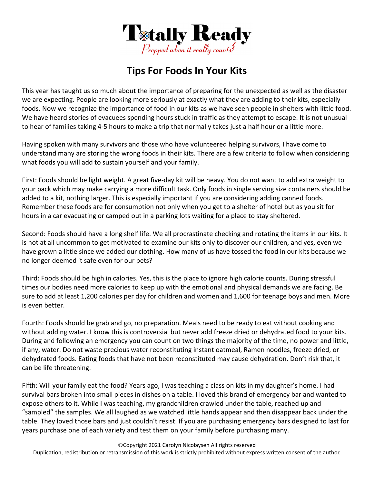

## **Tips For Foods In Your Kits**

This year has taught us so much about the importance of preparing for the unexpected as well as the disaster we are expecting. People are looking more seriously at exactly what they are adding to their kits, especially foods. Now we recognize the importance of food in our kits as we have seen people in shelters with little food. We have heard stories of evacuees spending hours stuck in traffic as they attempt to escape. It is not unusual to hear of families taking 4‐5 hours to make a trip that normally takes just a half hour or a little more.

Having spoken with many survivors and those who have volunteered helping survivors, I have come to understand many are storing the wrong foods in their kits. There are a few criteria to follow when considering what foods you will add to sustain yourself and your family.

First: Foods should be light weight. A great five‐day kit will be heavy. You do not want to add extra weight to your pack which may make carrying a more difficult task. Only foods in single serving size containers should be added to a kit, nothing larger. This is especially important if you are considering adding canned foods. Remember these foods are for consumption not only when you get to a shelter of hotel but as you sit for hours in a car evacuating or camped out in a parking lots waiting for a place to stay sheltered.

Second: Foods should have a long shelf life. We all procrastinate checking and rotating the items in our kits. It is not at all uncommon to get motivated to examine our kits only to discover our children, and yes, even we have grown a little since we added our clothing. How many of us have tossed the food in our kits because we no longer deemed it safe even for our pets?

Third: Foods should be high in calories. Yes, this is the place to ignore high calorie counts. During stressful times our bodies need more calories to keep up with the emotional and physical demands we are facing. Be sure to add at least 1,200 calories per day for children and women and 1,600 for teenage boys and men. More is even better.

Fourth: Foods should be grab and go, no preparation. Meals need to be ready to eat without cooking and without adding water. I know this is controversial but never add freeze dried or dehydrated food to your kits. During and following an emergency you can count on two things the majority of the time, no power and little, if any, water. Do not waste precious water reconstituting instant oatmeal, Ramen noodles, freeze dried, or dehydrated foods. Eating foods that have not been reconstituted may cause dehydration. Don't risk that, it can be life threatening.

Fifth: Will your family eat the food? Years ago, I was teaching a class on kits in my daughter's home. I had survival bars broken into small pieces in dishes on a table. I loved this brand of emergency bar and wanted to expose others to it. While I was teaching, my grandchildren crawled under the table, reached up and "sampled" the samples. We all laughed as we watched little hands appear and then disappear back under the table. They loved those bars and just couldn't resist. If you are purchasing emergency bars designed to last for years purchase one of each variety and test them on your family before purchasing many.

©Copyright 2021 Carolyn Nicolaysen All rights reserved Duplication, redistribution or retransmission of this work is strictly prohibited without express written consent of the author.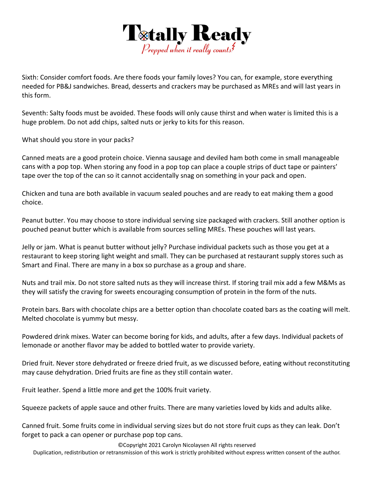

Sixth: Consider comfort foods. Are there foods your family loves? You can, for example, store everything needed for PB&J sandwiches. Bread, desserts and crackers may be purchased as MREs and will last years in this form.

Seventh: Salty foods must be avoided. These foods will only cause thirst and when water is limited this is a huge problem. Do not add chips, salted nuts or jerky to kits for this reason.

What should you store in your packs?

Canned meats are a good protein choice. Vienna sausage and deviled ham both come in small manageable cans with a pop top. When storing any food in a pop top can place a couple strips of duct tape or painters' tape over the top of the can so it cannot accidentally snag on something in your pack and open.

Chicken and tuna are both available in vacuum sealed pouches and are ready to eat making them a good choice.

Peanut butter. You may choose to store individual serving size packaged with crackers. Still another option is pouched peanut butter which is available from sources selling MREs. These pouches will last years.

Jelly or jam. What is peanut butter without jelly? Purchase individual packets such as those you get at a restaurant to keep storing light weight and small. They can be purchased at restaurant supply stores such as Smart and Final. There are many in a box so purchase as a group and share.

Nuts and trail mix. Do not store salted nuts as they will increase thirst. If storing trail mix add a few M&Ms as they will satisfy the craving for sweets encouraging consumption of protein in the form of the nuts.

Protein bars. Bars with chocolate chips are a better option than chocolate coated bars as the coating will melt. Melted chocolate is yummy but messy.

Powdered drink mixes. Water can become boring for kids, and adults, after a few days. Individual packets of lemonade or another flavor may be added to bottled water to provide variety.

Dried fruit. Never store dehydrated or freeze dried fruit, as we discussed before, eating without reconstituting may cause dehydration. Dried fruits are fine as they still contain water.

Fruit leather. Spend a little more and get the 100% fruit variety.

Squeeze packets of apple sauce and other fruits. There are many varieties loved by kids and adults alike.

Canned fruit. Some fruits come in individual serving sizes but do not store fruit cups as they can leak. Don't forget to pack a can opener or purchase pop top cans.

©Copyright 2021 Carolyn Nicolaysen All rights reserved

Duplication, redistribution or retransmission of this work is strictly prohibited without express written consent of the author.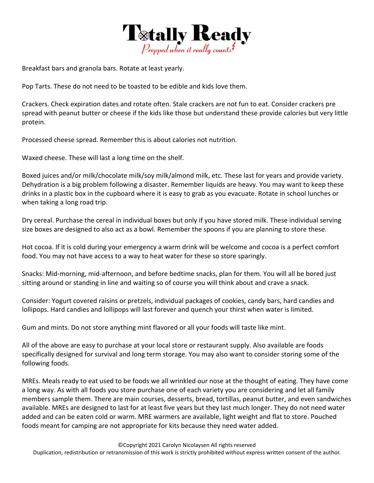

Breakfast bars and granola bars. Rotate at least yearly.

Pop Tarts. These do not need to be toasted to be edible and kids love them.

Crackers. Check expiration dates and rotate often. Stale crackers are not fun to eat. Consider crackers pre spread with peanut butter or cheese if the kids like those but understand these provide calories but very little protein.

Processed cheese spread. Remember this is about calories not nutrition.

Waxed cheese. These will last a long time on the shelf.

Boxed juices and/or milk/chocolate milk/soy milk/almond milk, etc. These last for years and provide variety. Dehydration is a big problem following a disaster. Remember liquids are heavy. You may want to keep these drinks in a plastic box in the cupboard where it is easy to grab as you evacuate. Rotate in school lunches or when taking a long road trip.

Dry cereal. Purchase the cereal in individual boxes but only if you have stored milk. These individual serving size boxes are designed to also act as a bowl. Remember the spoons if you are planning to store these.

Hot cocoa. If it is cold during your emergency a warm drink will be welcome and cocoa is a perfect comfort food. You may not have access to a way to heat water for these so store sparingly.

Snacks: Mid‐morning, mid‐afternoon, and before bedtime snacks, plan for them. You will all be bored just sitting around or standing in line and waiting so of course you will think about and crave a snack.

Consider: Yogurt covered raisins or pretzels, individual packages of cookies, candy bars, hard candies and lollipops. Hard candies and lollipops will last forever and quench your thirst when water is limited.

Gum and mints. Do not store anything mint flavored or all your foods will taste like mint.

All of the above are easy to purchase at your local store or restaurant supply. Also available are foods specifically designed for survival and long term storage. You may also want to consider storing some of the following foods.

MREs. Meals ready to eat used to be foods we all wrinkled our nose at the thought of eating. They have come a long way. As with all foods you store purchase one of each variety you are considering and let all family members sample them. There are main courses, desserts, bread, tortillas, peanut butter, and even sandwiches available. MREs are designed to last for at least five years but they last much longer. They do not need water added and can be eaten cold or warm. MRE warmers are available, light weight and flat to store. Pouched foods meant for camping are not appropriate for kits because they need water added.